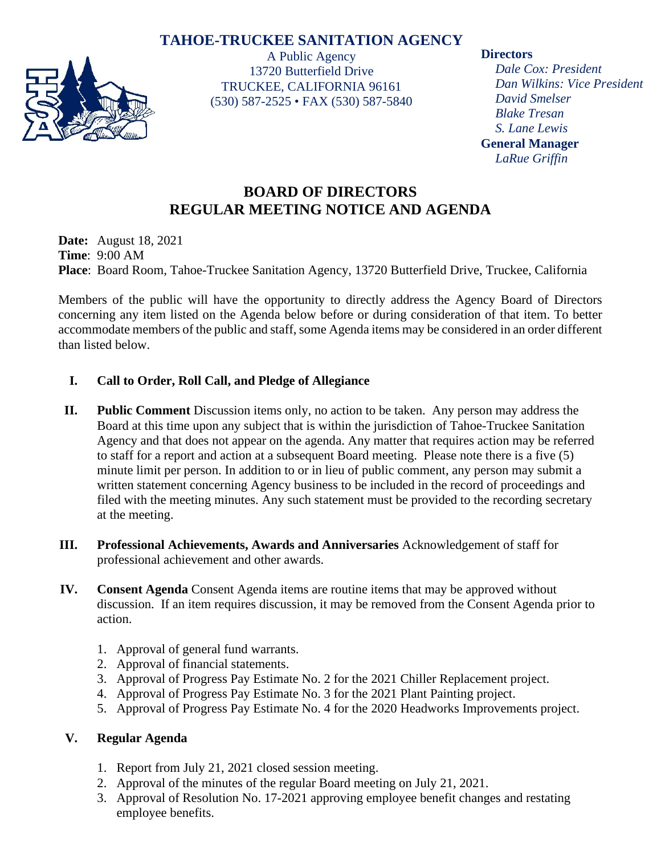## **TAHOE-TRUCKEE SANITATION AGENCY**



A Public Agency 13720 Butterfield Drive TRUCKEE, CALIFORNIA 96161 (530) 587-2525 • FAX (530) 587-5840 **Directors**

*Dale Cox: President Dan Wilkins: Vice President David Smelser Blake Tresan S. Lane Lewis* **General Manager** *LaRue Griffin*

# **BOARD OF DIRECTORS REGULAR MEETING NOTICE AND AGENDA**

**Date:** August 18, 2021 **Time**: 9:00 AM **Place**: Board Room, Tahoe-Truckee Sanitation Agency, 13720 Butterfield Drive, Truckee, California

Members of the public will have the opportunity to directly address the Agency Board of Directors concerning any item listed on the Agenda below before or during consideration of that item. To better accommodate members of the public and staff, some Agenda items may be considered in an order different than listed below.

#### **I. Call to Order, Roll Call, and Pledge of Allegiance**

- **II. Public Comment** Discussion items only, no action to be taken. Any person may address the Board at this time upon any subject that is within the jurisdiction of Tahoe-Truckee Sanitation Agency and that does not appear on the agenda. Any matter that requires action may be referred to staff for a report and action at a subsequent Board meeting. Please note there is a five (5) minute limit per person. In addition to or in lieu of public comment, any person may submit a written statement concerning Agency business to be included in the record of proceedings and filed with the meeting minutes. Any such statement must be provided to the recording secretary at the meeting.
- **III. Professional Achievements, Awards and Anniversaries** Acknowledgement of staff for professional achievement and other awards.
- **IV. Consent Agenda** Consent Agenda items are routine items that may be approved without discussion. If an item requires discussion, it may be removed from the Consent Agenda prior to action.
	- 1. Approval of general fund warrants.
	- 2. Approval of financial statements.
	- 3. Approval of Progress Pay Estimate No. 2 for the 2021 Chiller Replacement project.
	- 4. Approval of Progress Pay Estimate No. 3 for the 2021 Plant Painting project.
	- 5. Approval of Progress Pay Estimate No. 4 for the 2020 Headworks Improvements project.

## **V. Regular Agenda**

- 1. Report from July 21, 2021 closed session meeting.
- 2. Approval of the minutes of the regular Board meeting on July 21, 2021.
- 3. Approval of Resolution No. 17-2021 approving employee benefit changes and restating employee benefits.